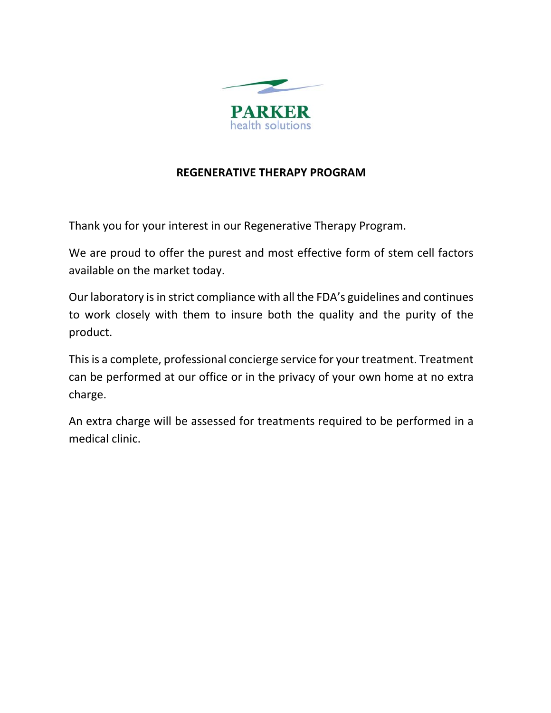

# **REGENERATIVE THERAPY PROGRAM**

Thank you for your interest in our Regenerative Therapy Program.

We are proud to offer the purest and most effective form of stem cell factors available on the market today.

Our laboratory is in strict compliance with all the FDA's guidelines and continues to work closely with them to insure both the quality and the purity of the product.

This is a complete, professional concierge service for your treatment. Treatment can be performed at our office or in the privacy of your own home at no extra charge.

An extra charge will be assessed for treatments required to be performed in a medical clinic.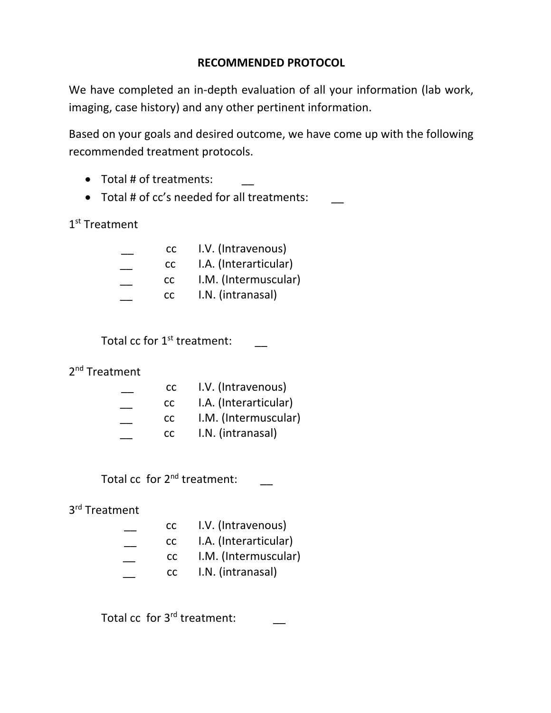# **RECOMMENDED PROTOCOL**

We have completed an in-depth evaluation of all your information (lab work, imaging, case history) and any other pertinent information.

Based on your goals and desired outcome, we have come up with the following recommended treatment protocols.

- $\bullet$  Total # of treatments:
- Total # of cc's needed for all treatments: \_\_

1<sup>st</sup> Treatment

| CC.  | I.V. (Intravenous)    |
|------|-----------------------|
| CC . | I.A. (Interarticular) |
| CC.  | I.M. (Intermuscular)  |
| CC — | I.N. (intranasal)     |
|      |                       |

Total cc for  $1^{\text{st}}$  treatment:  $\hskip1cm \rule{2.5cm}{1.1ex}$ 

#### 2<sup>nd</sup> Treatment

| CC — | I.V. (Intravenous)    |
|------|-----------------------|
| CC.  | I.A. (Interarticular) |
| CC.  | I.M. (Intermuscular)  |
| CC . | I.N. (intranasal)     |
|      |                       |

Total  $cc$  for  $2^{nd}$  treatment:  $\qquad \qquad \_$ 

3rd Treatment

| CC   | I.V. (Intravenous)    |
|------|-----------------------|
| CC — | I.A. (Interarticular) |
| CC — | I.M. (Intermuscular)  |
| CC . | I.N. (intranasal)     |
|      |                       |

Total cc for 3<sup>rd</sup> treatment:  $\qquad \qquad \_$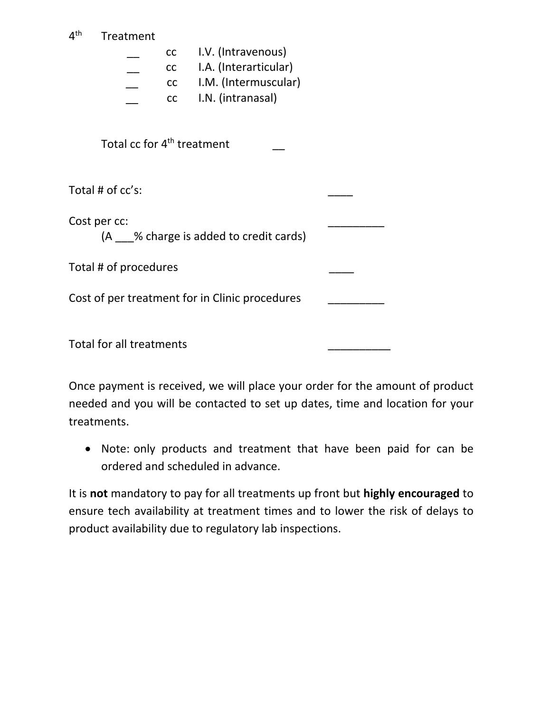| 4 <sup>th</sup>                                | Treatment |                       |  |
|------------------------------------------------|-----------|-----------------------|--|
|                                                | cc        | I.V. (Intravenous)    |  |
|                                                | cc        | I.A. (Interarticular) |  |
|                                                | cc        | I.M. (Intermuscular)  |  |
|                                                | cc        | I.N. (intranasal)     |  |
| Total cc for 4 <sup>th</sup> treatment         |           |                       |  |
| Total # of cc's:                               |           |                       |  |
| Cost per cc:                                   |           |                       |  |
| (A ___% charge is added to credit cards)       |           |                       |  |
| Total # of procedures                          |           |                       |  |
| Cost of per treatment for in Clinic procedures |           |                       |  |
|                                                |           |                       |  |
| Total for all treatments                       |           |                       |  |

Once payment is received, we will place your order for the amount of product needed and you will be contacted to set up dates, time and location for your treatments.

 Note: only products and treatment that have been paid for can be ordered and scheduled in advance.

It is **not** mandatory to pay for all treatments up front but **highly encouraged** to ensure tech availability at treatment times and to lower the risk of delays to product availability due to regulatory lab inspections.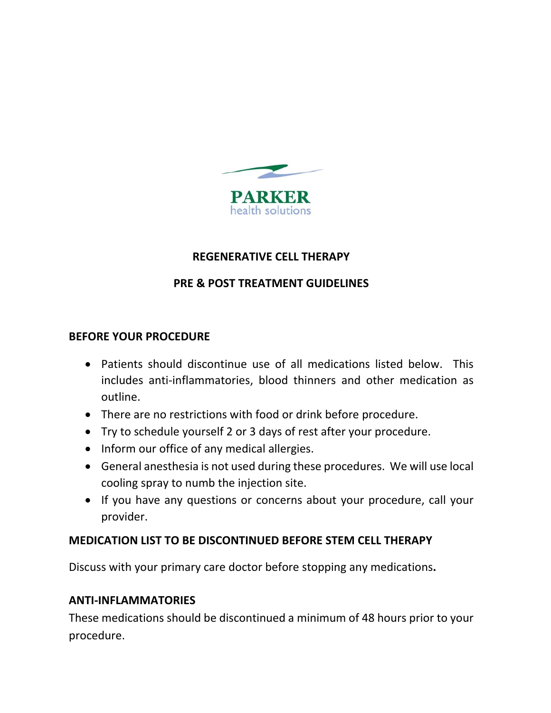

### **REGENERATIVE CELL THERAPY**

# **PRE & POST TREATMENT GUIDELINES**

#### **BEFORE YOUR PROCEDURE**

- Patients should discontinue use of all medications listed below. This includes anti‐inflammatories, blood thinners and other medication as outline.
- There are no restrictions with food or drink before procedure.
- Try to schedule yourself 2 or 3 days of rest after your procedure.
- Inform our office of any medical allergies.
- General anesthesia is not used during these procedures. We will use local cooling spray to numb the injection site.
- If you have any questions or concerns about your procedure, call your provider.

# **MEDICATION LIST TO BE DISCONTINUED BEFORE STEM CELL THERAPY**

Discuss with your primary care doctor before stopping any medications**.**

#### **ANTI‐INFLAMMATORIES**

These medications should be discontinued a minimum of 48 hours prior to your procedure.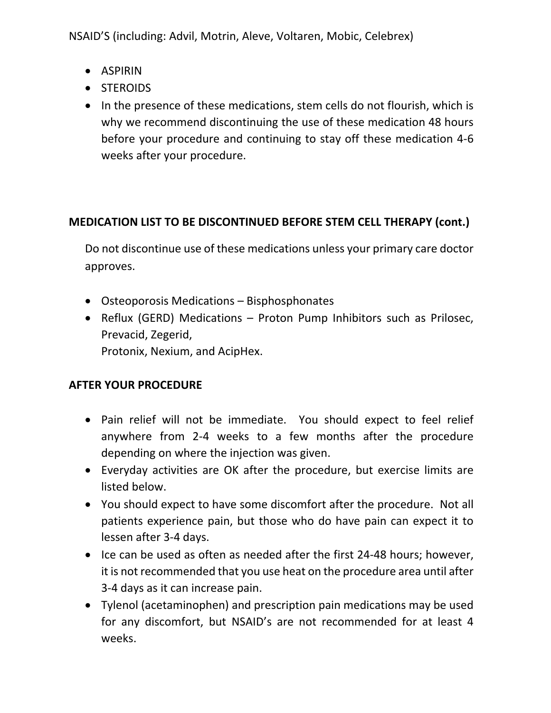NSAID'S (including: Advil, Motrin, Aleve, Voltaren, Mobic, Celebrex)

- ASPIRIN
- STEROIDS
- In the presence of these medications, stem cells do not flourish, which is why we recommend discontinuing the use of these medication 48 hours before your procedure and continuing to stay off these medication 4‐6 weeks after your procedure.

# **MEDICATION LIST TO BE DISCONTINUED BEFORE STEM CELL THERAPY (cont.)**

Do not discontinue use of these medications unless your primary care doctor approves.

- Osteoporosis Medications Bisphosphonates
- Reflux (GERD) Medications Proton Pump Inhibitors such as Prilosec, Prevacid, Zegerid,

Protonix, Nexium, and AcipHex.

# **AFTER YOUR PROCEDURE**

- Pain relief will not be immediate. You should expect to feel relief anywhere from 2‐4 weeks to a few months after the procedure depending on where the injection was given.
- Everyday activities are OK after the procedure, but exercise limits are listed below.
- You should expect to have some discomfort after the procedure. Not all patients experience pain, but those who do have pain can expect it to lessen after 3‐4 days.
- Ice can be used as often as needed after the first 24-48 hours; however, it is not recommended that you use heat on the procedure area until after 3‐4 days as it can increase pain.
- Tylenol (acetaminophen) and prescription pain medications may be used for any discomfort, but NSAID's are not recommended for at least 4 weeks.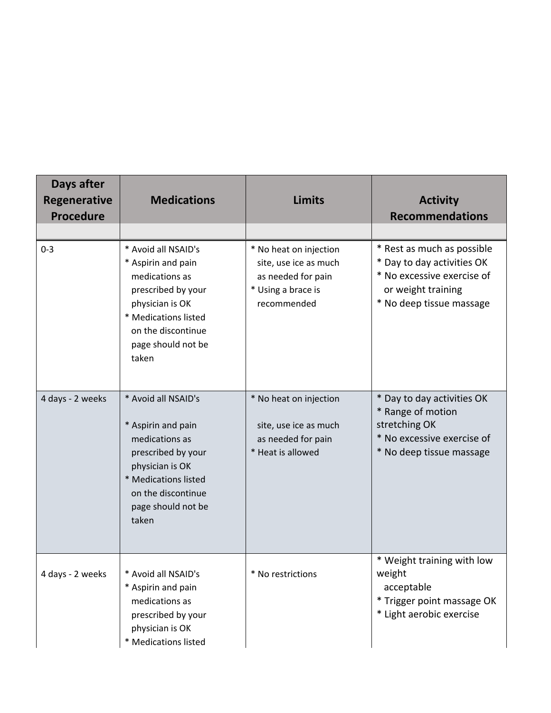| Days after<br><b>Regenerative</b><br><b>Procedure</b> | <b>Medications</b>                                                                                                                                                                | <b>Limits</b>                                                                                              | <b>Activity</b><br><b>Recommendations</b>                                                                                                |
|-------------------------------------------------------|-----------------------------------------------------------------------------------------------------------------------------------------------------------------------------------|------------------------------------------------------------------------------------------------------------|------------------------------------------------------------------------------------------------------------------------------------------|
| $0 - 3$                                               | * Avoid all NSAID's<br>* Aspirin and pain<br>medications as<br>prescribed by your<br>physician is OK<br>* Medications listed<br>on the discontinue<br>page should not be<br>taken | * No heat on injection<br>site, use ice as much<br>as needed for pain<br>* Using a brace is<br>recommended | * Rest as much as possible<br>* Day to day activities OK<br>* No excessive exercise of<br>or weight training<br>* No deep tissue massage |
| 4 days - 2 weeks                                      | * Avoid all NSAID's<br>* Aspirin and pain<br>medications as<br>prescribed by your<br>physician is OK<br>* Medications listed<br>on the discontinue<br>page should not be<br>taken | * No heat on injection<br>site, use ice as much<br>as needed for pain<br>* Heat is allowed                 | * Day to day activities OK<br>* Range of motion<br>stretching OK<br>* No excessive exercise of<br>* No deep tissue massage               |
| 4 days - 2 weeks                                      | * Avoid all NSAID's<br>* Aspirin and pain<br>medications as<br>prescribed by your<br>physician is OK<br>* Medications listed                                                      | * No restrictions                                                                                          | * Weight training with low<br>weight<br>acceptable<br>* Trigger point massage OK<br>* Light aerobic exercise                             |